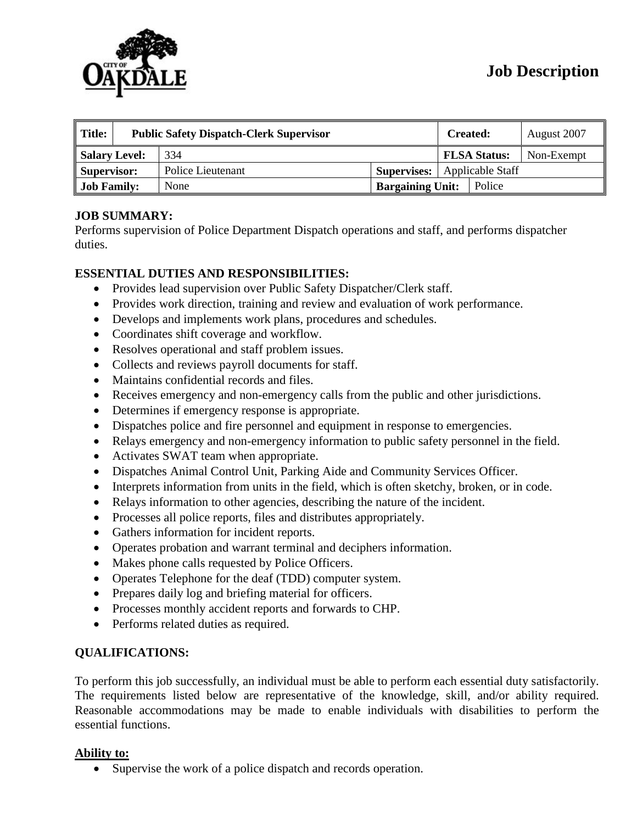

| $\parallel$ Title: | <b>Public Safety Dispatch-Clerk Supervisor</b> |                   |                         | <b>Created:</b>     |        | August 2007 |
|--------------------|------------------------------------------------|-------------------|-------------------------|---------------------|--------|-------------|
| Salary Level:      |                                                | 334               |                         | <b>FLSA Status:</b> |        | Non-Exempt  |
| Supervisor:        |                                                | Police Lieutenant | <b>Supervises:</b>      | Applicable Staff    |        |             |
| <b>Job Family:</b> |                                                | None              | <b>Bargaining Unit:</b> |                     | Police |             |

## **JOB SUMMARY:**

Performs supervision of Police Department Dispatch operations and staff, and performs dispatcher duties.

### **ESSENTIAL DUTIES AND RESPONSIBILITIES:**

- Provides lead supervision over Public Safety Dispatcher/Clerk staff.
- Provides work direction, training and review and evaluation of work performance.
- Develops and implements work plans, procedures and schedules.
- Coordinates shift coverage and workflow.
- Resolves operational and staff problem issues.
- Collects and reviews payroll documents for staff.
- Maintains confidential records and files.
- Receives emergency and non-emergency calls from the public and other jurisdictions.
- Determines if emergency response is appropriate.
- Dispatches police and fire personnel and equipment in response to emergencies.
- Relays emergency and non-emergency information to public safety personnel in the field.
- Activates SWAT team when appropriate.
- Dispatches Animal Control Unit, Parking Aide and Community Services Officer.
- Interprets information from units in the field, which is often sketchy, broken, or in code.
- Relays information to other agencies, describing the nature of the incident.
- Processes all police reports, files and distributes appropriately.
- Gathers information for incident reports.
- Operates probation and warrant terminal and deciphers information.
- Makes phone calls requested by Police Officers.
- Operates Telephone for the deaf (TDD) computer system.
- Prepares daily log and briefing material for officers.
- Processes monthly accident reports and forwards to CHP.
- Performs related duties as required.

### **QUALIFICATIONS:**

To perform this job successfully, an individual must be able to perform each essential duty satisfactorily. The requirements listed below are representative of the knowledge, skill, and/or ability required. Reasonable accommodations may be made to enable individuals with disabilities to perform the essential functions.

### **Ability to:**

• Supervise the work of a police dispatch and records operation.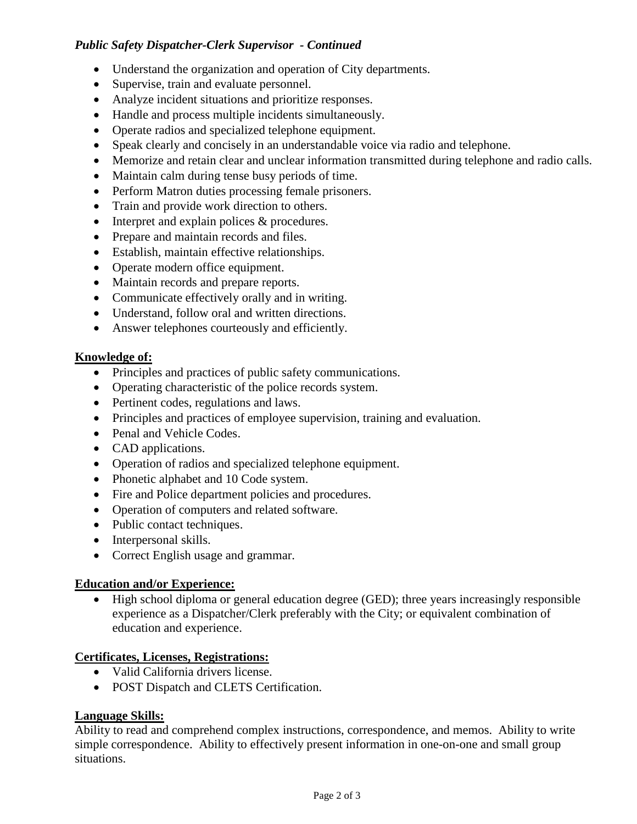## *Public Safety Dispatcher-Clerk Supervisor - Continued*

- Understand the organization and operation of City departments.
- Supervise, train and evaluate personnel.
- Analyze incident situations and prioritize responses.
- Handle and process multiple incidents simultaneously.
- Operate radios and specialized telephone equipment.
- Speak clearly and concisely in an understandable voice via radio and telephone.
- Memorize and retain clear and unclear information transmitted during telephone and radio calls.
- Maintain calm during tense busy periods of time.
- Perform Matron duties processing female prisoners.
- Train and provide work direction to others.
- Interpret and explain polices & procedures.
- Prepare and maintain records and files.
- Establish, maintain effective relationships.
- Operate modern office equipment.
- Maintain records and prepare reports.
- Communicate effectively orally and in writing.
- Understand, follow oral and written directions.
- Answer telephones courteously and efficiently.

## **Knowledge of:**

- Principles and practices of public safety communications.
- Operating characteristic of the police records system.
- Pertinent codes, regulations and laws.
- Principles and practices of employee supervision, training and evaluation.
- Penal and Vehicle Codes.
- CAD applications.
- Operation of radios and specialized telephone equipment.
- Phonetic alphabet and 10 Code system.
- Fire and Police department policies and procedures.
- Operation of computers and related software.
- Public contact techniques.
- Interpersonal skills.
- Correct English usage and grammar.

## **Education and/or Experience:**

• High school diploma or general education degree (GED); three years increasingly responsible experience as a Dispatcher/Clerk preferably with the City; or equivalent combination of education and experience.

# **Certificates, Licenses, Registrations:**

- Valid California drivers license.
- POST Dispatch and CLETS Certification.

## **Language Skills:**

Ability to read and comprehend complex instructions, correspondence, and memos. Ability to write simple correspondence. Ability to effectively present information in one-on-one and small group situations.